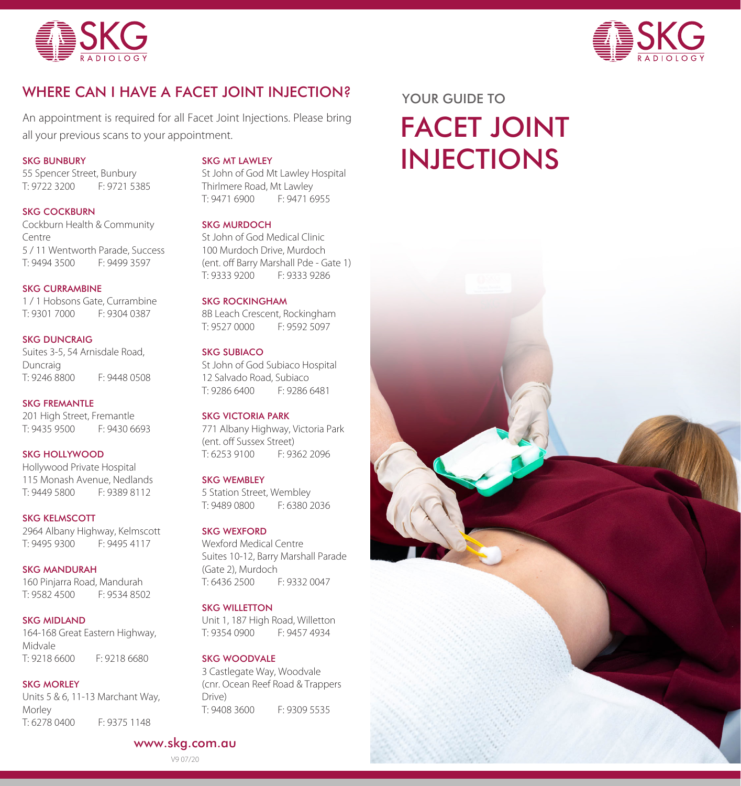



# WHERE CAN I HAVE A FACET JOINT INJECTION? YOUR GUIDE TO

An appointment is required for all Facet Joint Injections. Please bring all your previous scans to your appointment.

#### SKG BUNBURY

55 Spencer Street, Bunbury T: 9722 3200 F: 9721 5385

#### SKG COCKBURN

Cockburn Health & Community Centre 5 / 11 Wentworth Parade, Success F: 9499 3597

## SKG CURRAMBINE

1 / 1 Hobsons Gate, Currambine T: 9301 7000 F: 9304 0387

# SKG DUNCRAIG Suites 3-5, 54 Arnisdale Road,

Duncraig<br>T: 9246 8800 F: 9448 0508

## SKG FREMANTLE 201 High Street, Fremantle T: 9435 9500 F: 9430 6693

### SKG HOLLYWOOD

Hollywood Private Hospital 115 Monash Avenue, Nedlands<br>T: 9449 5800 F: 9389 8112 T: 9449 5800

#### SKG KELMSCOTT 2964 Albany Highway, Kelmscott T: 9495 9300 F: 9495 4117

SKG MANDURAH 160 Pinjarra Road, Mandurah T: 9582 4500 F: 9534 8502

#### SKG MIDLAND

164-168 Great Eastern Highway, Midvale T: 9218 6600 F: 9218 6680

#### SKG MORLEY

Units 5 & 6, 11-13 Marchant Way, Morley T: 6278 0400 F: 9375 1148

#### SKG MT LAWLEY

St John of God Mt Lawley Hospital Thirlmere Road, Mt Lawley T: 9471 6900 F: 9471 6955

## SKG MURDOCH

St John of God Medical Clinic 100 Murdoch Drive, Murdoch (ent. off Barry Marshall Pde - Gate 1)<br>T: 9333 9200 F: 9333 9286 T: 9333 9200 F: 9333 9286

#### SKG ROCKINGHAM

8B Leach Crescent, Rockingham T: 9527 0000 F: 9592 5097

#### SKG SUBIACO

St John of God Subiaco Hospital 12 Salvado Road, Subiaco<br>T<sup>.</sup> 9286 6400 F<sup>.</sup> 9286 6481 T: 9286 6400

#### SKG VICTORIA PARK

771 Albany Highway, Victoria Park (ent. off Sussex Street) T: 6253 9100 F: 9362 2096

#### SKG WEMBLEY

5 Station Street, Wembley T: 9489 0800 F: 6380 2036

## SKG WEXFORD

Wexford Medical Centre Suites 10-12, Barry Marshall Parade (Gate 2), Murdoch T: 6436 2500 F: 9332 0047

#### SKG WILLETTON

Unit 1, 187 High Road, Willetton T: 9354 0900 F: 9457 4934

## SKG WOODVALE

3 Castlegate Way, Woodvale (cnr. Ocean Reef Road & Trappers Drive) T: 9408 3600 F: 9309 5535

# FACET JOINT INJECTIONS



# www.skg.com.au

V9 07/20